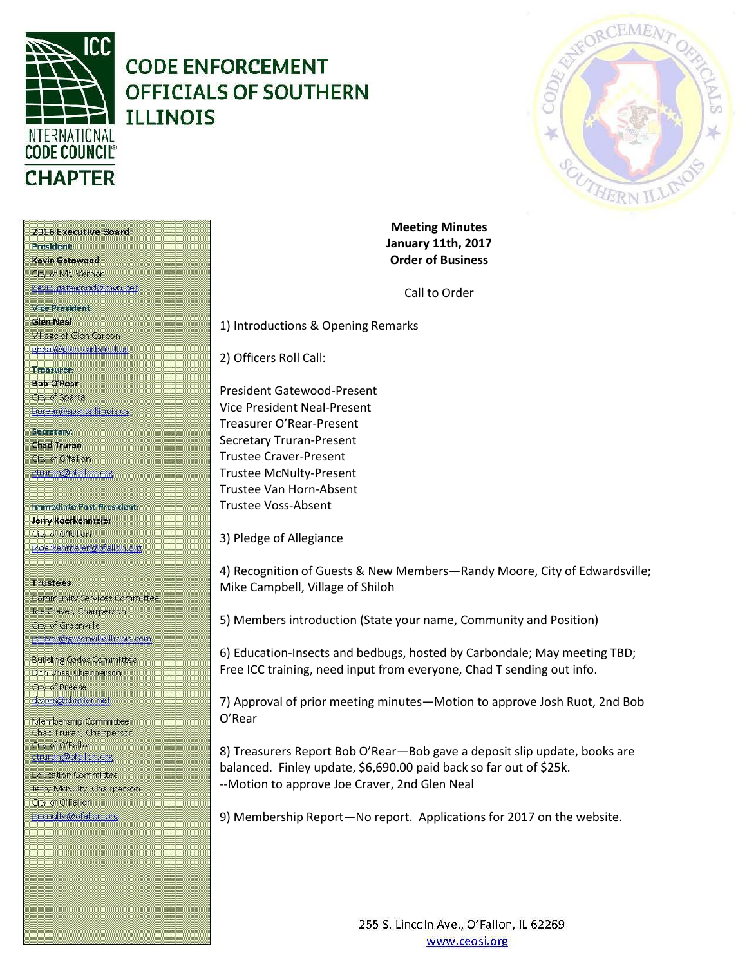

# **CODE ENFORCEMENT OFFICIALS OF SOUTHERN ILLINOIS**



2016 Executive Board President

Kevin Gatewood City of Mt. Vernon Kevin gatewood@mvn.net

**Vice President. Glen Neal** Village of Glen Carbon gneal@glen-carbon.il.us

#### Treasurer: **Bob O'Rear**

Oty of Sparta borear@spartaillinois.us

Secretary: **Chad Truran** City of O'fallon ctruran@ofallon.org

Immediate Past President: Jerry Koerkenmeier City of O'fallon (koerkenmerer@ofallon.org)

### **Trustees**

Community Services Committee Joe Craver, Champerson City of Greenville joraver@greenvilleillinois.com

**Building Codes Committee** Don Voss, Chairperson. City of Breese d.voss@charter.net

Membership Committee Chad Truran, Champerson **Gty of O'Fallon** ctruran@ofallon.org

**Education Committee** Jerry McNulty, Chairperson. City of O'Fallon imenuity@ofallon.org

**Meeting Minutes January 11th, 2017 Order of Business**

Call to Order

1) Introductions & Opening Remarks

2) Officers Roll Call:

President Gatewood-Present Vice President Neal-Present Treasurer O'Rear-Present Secretary Truran-Present Trustee Craver-Present Trustee McNulty-Present Trustee Van Horn-Absent Trustee Voss-Absent

3) Pledge of Allegiance

4) Recognition of Guests & New Members—Randy Moore, City of Edwardsville; Mike Campbell, Village of Shiloh

5) Members introduction (State your name, Community and Position)

6) Education-Insects and bedbugs, hosted by Carbondale; May meeting TBD; Free ICC training, need input from everyone, Chad T sending out info.

7) Approval of prior meeting minutes—Motion to approve Josh Ruot, 2nd Bob O'Rear

8) Treasurers Report Bob O'Rear—Bob gave a deposit slip update, books are balanced. Finley update, \$6,690.00 paid back so far out of \$25k. --Motion to approve Joe Craver, 2nd Glen Neal

9) Membership Report—No report. Applications for 2017 on the website.